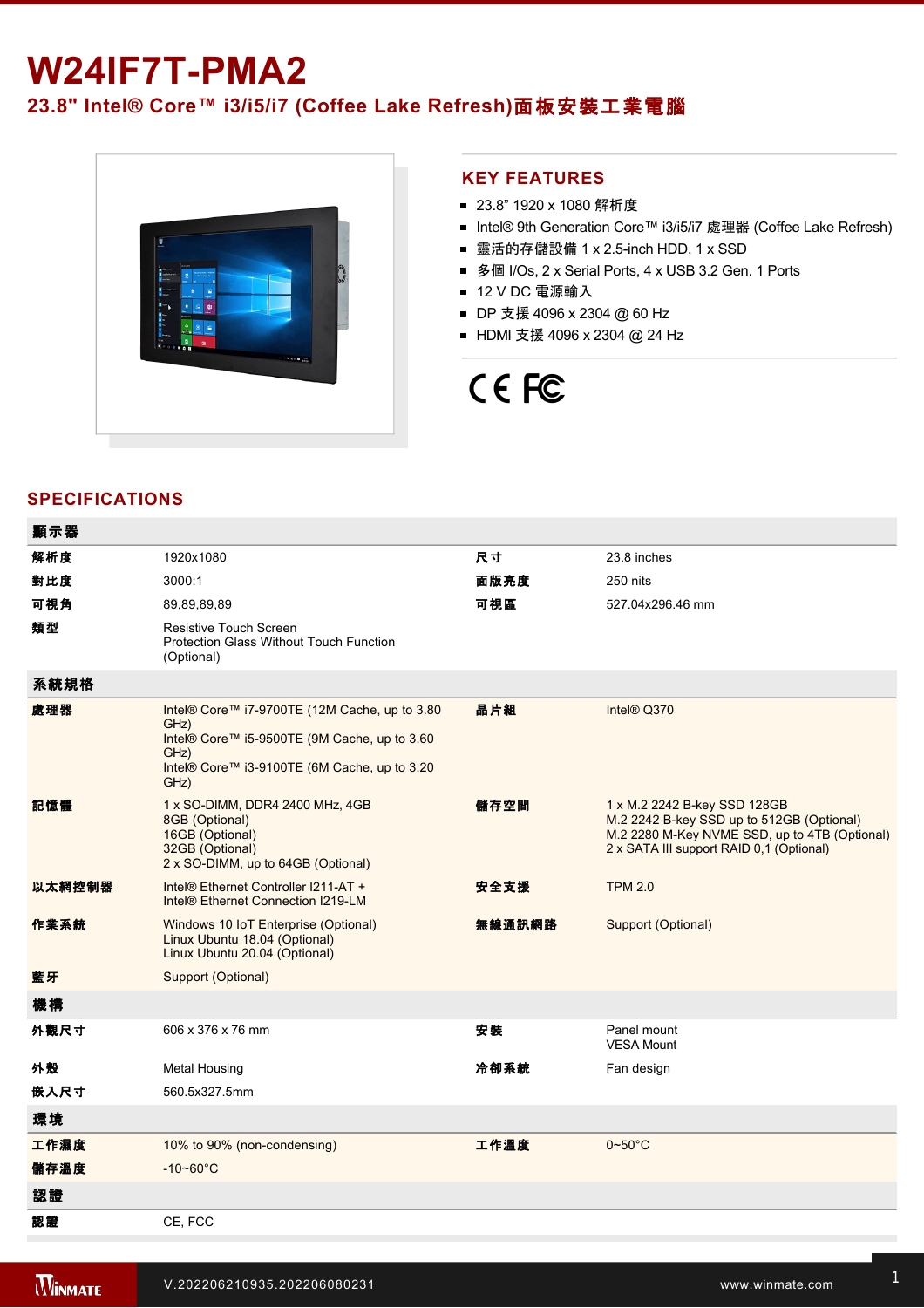## **W24IF7T-PMA2**

## **23.8" Intel® Core™ i3/i5/i7 (Coffee Lake Refresh)**面板安裝工業電腦



## **KEY FEATURES**

- 23.8" 1920 x 1080 解析度
- Intel® 9th Generation Core™ i3/i5/i7 處理器 (Coffee Lake Refresh)
- 靈活的存儲設備 1 x 2.5-inch HDD, 1 x SSD
- 多個 I/Os, 2 x Serial Ports, 4 x USB 3.2 Gen. 1 Ports
- 12 V DC 電源輸入
- DP 支援 4096 x 2304 @ 60 Hz
- HDMI 支援 4096 x 2304 @ 24 Hz

# CE FC

## **SPECIFICATIONS**

| 顯示器    |                                                                                                                                                                       |        |                                                                                                                                                                        |
|--------|-----------------------------------------------------------------------------------------------------------------------------------------------------------------------|--------|------------------------------------------------------------------------------------------------------------------------------------------------------------------------|
| 解析度    | 1920x1080                                                                                                                                                             | 尺寸     | 23.8 inches                                                                                                                                                            |
| 對比度    | 3000:1                                                                                                                                                                | 面版亮度   | 250 nits                                                                                                                                                               |
| 可視角    | 89.89.89.89                                                                                                                                                           | 可視區    | 527.04x296.46 mm                                                                                                                                                       |
| 類型     | <b>Resistive Touch Screen</b><br><b>Protection Glass Without Touch Function</b><br>(Optional)                                                                         |        |                                                                                                                                                                        |
| 系統規格   |                                                                                                                                                                       |        |                                                                                                                                                                        |
| 處理器    | Intel® Core™ i7-9700TE (12M Cache, up to 3.80<br>GHz)<br>Intel® Core™ i5-9500TE (9M Cache, up to 3.60<br>GHz)<br>Intel® Core™ i3-9100TE (6M Cache, up to 3.20<br>GHz) | 晶片組    | Intel® Q370                                                                                                                                                            |
| 記憶體    | 1 x SO-DIMM, DDR4 2400 MHz, 4GB<br>8GB (Optional)<br>16GB (Optional)<br>32GB (Optional)<br>2 x SO-DIMM, up to 64GB (Optional)                                         | 儲存空間   | 1 x M.2 2242 B-key SSD 128GB<br>M.2 2242 B-key SSD up to 512GB (Optional)<br>M.2 2280 M-Key NVME SSD, up to 4TB (Optional)<br>2 x SATA III support RAID 0,1 (Optional) |
| 以太網控制器 | Intel® Ethernet Controller I211-AT +<br>Intel® Ethernet Connection I219-LM                                                                                            | 安全支援   | <b>TPM 2.0</b>                                                                                                                                                         |
| 作業系統   | Windows 10 IoT Enterprise (Optional)<br>Linux Ubuntu 18.04 (Optional)<br>Linux Ubuntu 20.04 (Optional)                                                                | 無線通訊網路 | Support (Optional)                                                                                                                                                     |
| 藍牙     | Support (Optional)                                                                                                                                                    |        |                                                                                                                                                                        |
| 機構     |                                                                                                                                                                       |        |                                                                                                                                                                        |
| 外觀尺寸   | 606 x 376 x 76 mm                                                                                                                                                     | 安装     | Panel mount<br><b>VESA Mount</b>                                                                                                                                       |
| 外殼     | <b>Metal Housing</b>                                                                                                                                                  | 冷卻系統   | Fan design                                                                                                                                                             |
| 嵌入尺寸   | 560.5x327.5mm                                                                                                                                                         |        |                                                                                                                                                                        |
| 環境     |                                                                                                                                                                       |        |                                                                                                                                                                        |
| 工作濕度   | 10% to 90% (non-condensing)                                                                                                                                           | 工作溫度   | $0 - 50^{\circ}$ C                                                                                                                                                     |
| 儲存溫度   | $-10 - 60^{\circ}$ C                                                                                                                                                  |        |                                                                                                                                                                        |
| 認證     |                                                                                                                                                                       |        |                                                                                                                                                                        |
| 認證     | CE, FCC                                                                                                                                                               |        |                                                                                                                                                                        |